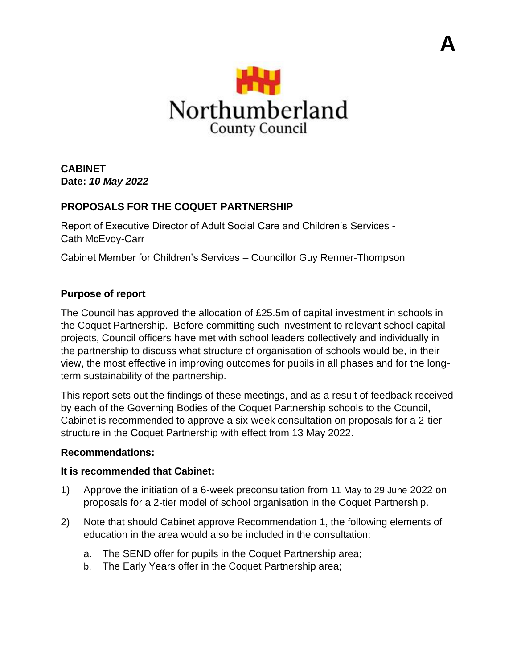

**A**

**CABINET Date:** *10 May 2022*

# **PROPOSALS FOR THE COQUET PARTNERSHIP**

Report of Executive Director of Adult Social Care and Children's Services - Cath McEvoy-Carr

Cabinet Member for Children's Services – Councillor Guy Renner-Thompson

## **Purpose of report**

The Council has approved the allocation of £25.5m of capital investment in schools in the Coquet Partnership. Before committing such investment to relevant school capital projects, Council officers have met with school leaders collectively and individually in the partnership to discuss what structure of organisation of schools would be, in their view, the most effective in improving outcomes for pupils in all phases and for the longterm sustainability of the partnership.

This report sets out the findings of these meetings, and as a result of feedback received by each of the Governing Bodies of the Coquet Partnership schools to the Council, Cabinet is recommended to approve a six-week consultation on proposals for a 2-tier structure in the Coquet Partnership with effect from 13 May 2022.

#### **Recommendations:**

#### **It is recommended that Cabinet:**

- 1) Approve the initiation of a 6-week preconsultation from 11 May to 29 June 2022 on proposals for a 2-tier model of school organisation in the Coquet Partnership.
- 2) Note that should Cabinet approve Recommendation 1, the following elements of education in the area would also be included in the consultation:
	- a. The SEND offer for pupils in the Coquet Partnership area;
	- b. The Early Years offer in the Coquet Partnership area;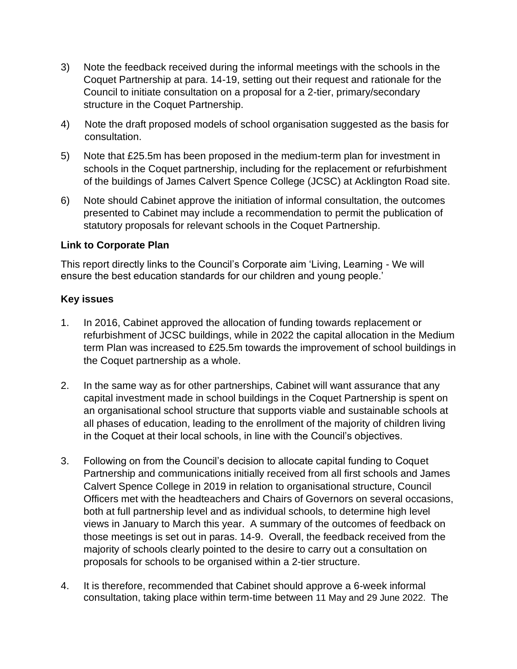- 3) Note the feedback received during the informal meetings with the schools in the Coquet Partnership at para. 14-19, setting out their request and rationale for the Council to initiate consultation on a proposal for a 2-tier, primary/secondary structure in the Coquet Partnership.
- 4) Note the draft proposed models of school organisation suggested as the basis for consultation.
- 5) Note that £25.5m has been proposed in the medium-term plan for investment in schools in the Coquet partnership, including for the replacement or refurbishment of the buildings of James Calvert Spence College (JCSC) at Acklington Road site.
- 6) Note should Cabinet approve the initiation of informal consultation, the outcomes presented to Cabinet may include a recommendation to permit the publication of statutory proposals for relevant schools in the Coquet Partnership.

#### **Link to Corporate Plan**

This report directly links to the Council's Corporate aim 'Living, Learning - We will ensure the best education standards for our children and young people.'

## **Key issues**

- 1. In 2016, Cabinet approved the allocation of funding towards replacement or refurbishment of JCSC buildings, while in 2022 the capital allocation in the Medium term Plan was increased to £25.5m towards the improvement of school buildings in the Coquet partnership as a whole.
- 2. In the same way as for other partnerships, Cabinet will want assurance that any capital investment made in school buildings in the Coquet Partnership is spent on an organisational school structure that supports viable and sustainable schools at all phases of education, leading to the enrollment of the majority of children living in the Coquet at their local schools, in line with the Council's objectives.
- 3. Following on from the Council's decision to allocate capital funding to Coquet Partnership and communications initially received from all first schools and James Calvert Spence College in 2019 in relation to organisational structure, Council Officers met with the headteachers and Chairs of Governors on several occasions, both at full partnership level and as individual schools, to determine high level views in January to March this year. A summary of the outcomes of feedback on those meetings is set out in paras. 14-9. Overall, the feedback received from the majority of schools clearly pointed to the desire to carry out a consultation on proposals for schools to be organised within a 2-tier structure.
- 4. It is therefore, recommended that Cabinet should approve a 6-week informal consultation, taking place within term-time between 11 May and 29 June 2022. The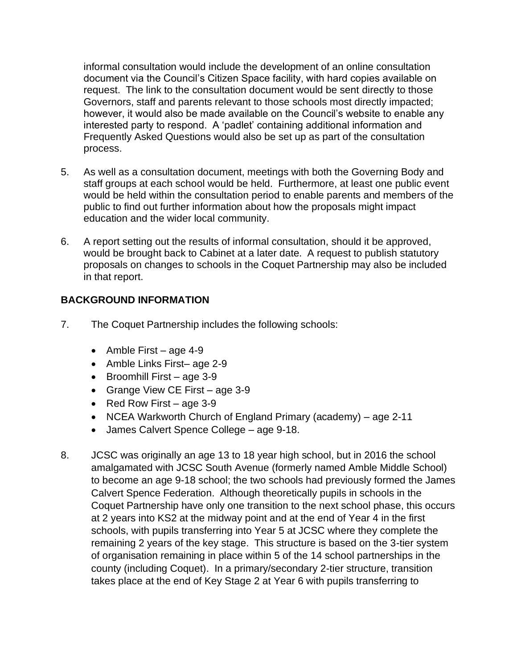informal consultation would include the development of an online consultation document via the Council's Citizen Space facility, with hard copies available on request. The link to the consultation document would be sent directly to those Governors, staff and parents relevant to those schools most directly impacted; however, it would also be made available on the Council's website to enable any interested party to respond. A 'padlet' containing additional information and Frequently Asked Questions would also be set up as part of the consultation process.

- 5. As well as a consultation document, meetings with both the Governing Body and staff groups at each school would be held. Furthermore, at least one public event would be held within the consultation period to enable parents and members of the public to find out further information about how the proposals might impact education and the wider local community.
- 6. A report setting out the results of informal consultation, should it be approved, would be brought back to Cabinet at a later date. A request to publish statutory proposals on changes to schools in the Coquet Partnership may also be included in that report.

# **BACKGROUND INFORMATION**

- 7. The Coquet Partnership includes the following schools:
	- Amble First age 4-9
	- Amble Links First– age 2-9
	- Broomhill First age 3-9
	- Grange View CE First age 3-9
	- Red Row First age 3-9
	- NCEA Warkworth Church of England Primary (academy) age 2-11
	- James Calvert Spence College age 9-18.
- 8. JCSC was originally an age 13 to 18 year high school, but in 2016 the school amalgamated with JCSC South Avenue (formerly named Amble Middle School) to become an age 9-18 school; the two schools had previously formed the James Calvert Spence Federation. Although theoretically pupils in schools in the Coquet Partnership have only one transition to the next school phase, this occurs at 2 years into KS2 at the midway point and at the end of Year 4 in the first schools, with pupils transferring into Year 5 at JCSC where they complete the remaining 2 years of the key stage. This structure is based on the 3-tier system of organisation remaining in place within 5 of the 14 school partnerships in the county (including Coquet). In a primary/secondary 2-tier structure, transition takes place at the end of Key Stage 2 at Year 6 with pupils transferring to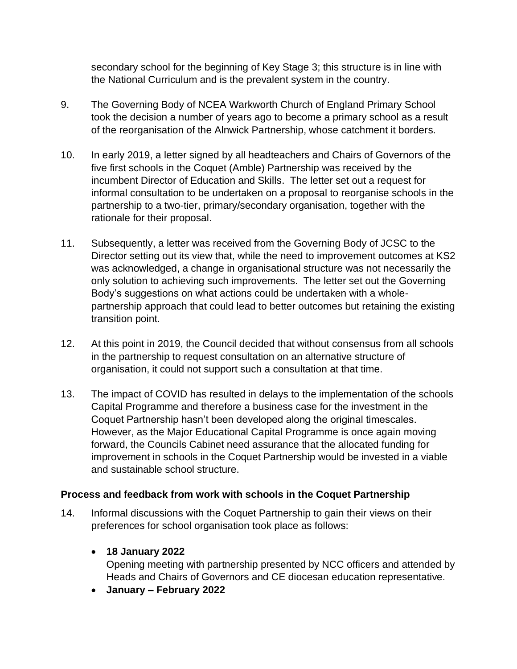secondary school for the beginning of Key Stage 3; this structure is in line with the National Curriculum and is the prevalent system in the country.

- 9. The Governing Body of NCEA Warkworth Church of England Primary School took the decision a number of years ago to become a primary school as a result of the reorganisation of the Alnwick Partnership, whose catchment it borders.
- 10. In early 2019, a letter signed by all headteachers and Chairs of Governors of the five first schools in the Coquet (Amble) Partnership was received by the incumbent Director of Education and Skills. The letter set out a request for informal consultation to be undertaken on a proposal to reorganise schools in the partnership to a two-tier, primary/secondary organisation, together with the rationale for their proposal.
- 11. Subsequently, a letter was received from the Governing Body of JCSC to the Director setting out its view that, while the need to improvement outcomes at KS2 was acknowledged, a change in organisational structure was not necessarily the only solution to achieving such improvements. The letter set out the Governing Body's suggestions on what actions could be undertaken with a wholepartnership approach that could lead to better outcomes but retaining the existing transition point.
- 12. At this point in 2019, the Council decided that without consensus from all schools in the partnership to request consultation on an alternative structure of organisation, it could not support such a consultation at that time.
- 13. The impact of COVID has resulted in delays to the implementation of the schools Capital Programme and therefore a business case for the investment in the Coquet Partnership hasn't been developed along the original timescales. However, as the Major Educational Capital Programme is once again moving forward, the Councils Cabinet need assurance that the allocated funding for improvement in schools in the Coquet Partnership would be invested in a viable and sustainable school structure.

## **Process and feedback from work with schools in the Coquet Partnership**

14. Informal discussions with the Coquet Partnership to gain their views on their preferences for school organisation took place as follows:

## • **18 January 2022**

Opening meeting with partnership presented by NCC officers and attended by Heads and Chairs of Governors and CE diocesan education representative.

• **January – February 2022**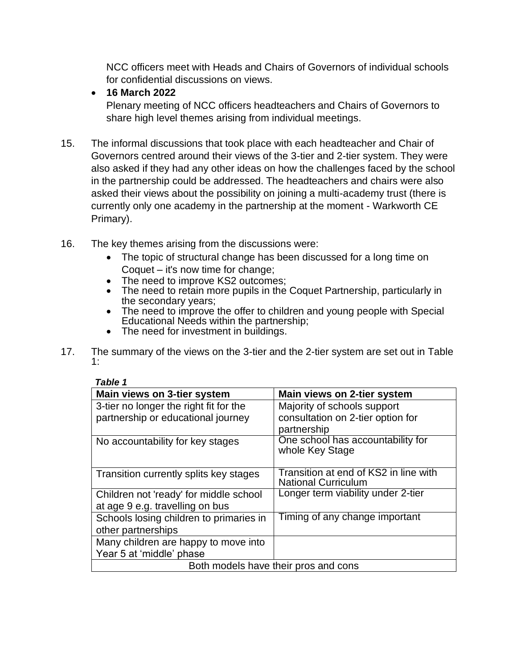NCC officers meet with Heads and Chairs of Governors of individual schools for confidential discussions on views.

## • **16 March 2022**

Plenary meeting of NCC officers headteachers and Chairs of Governors to share high level themes arising from individual meetings.

- 15. The informal discussions that took place with each headteacher and Chair of Governors centred around their views of the 3-tier and 2-tier system. They were also asked if they had any other ideas on how the challenges faced by the school in the partnership could be addressed. The headteachers and chairs were also asked their views about the possibility on joining a multi-academy trust (there is currently only one academy in the partnership at the moment - Warkworth CE Primary).
- 16. The key themes arising from the discussions were:
	- The topic of structural change has been discussed for a long time on Coquet – it's now time for change;
	- The need to improve KS2 outcomes;
	- The need to retain more pupils in the Coquet Partnership, particularly in the secondary years;
	- The need to improve the offer to children and young people with Special Educational Needs within the partnership;
	- The need for investment in buildings.
- 17. The summary of the views on the 3-tier and the 2-tier system are set out in Table 1:

| <b>Table 1</b>                          |                                                                     |
|-----------------------------------------|---------------------------------------------------------------------|
| Main views on 3-tier system             | Main views on 2-tier system                                         |
| 3-tier no longer the right fit for the  | Majority of schools support                                         |
| partnership or educational journey      | consultation on 2-tier option for                                   |
|                                         | partnership                                                         |
| No accountability for key stages        | One school has accountability for<br>whole Key Stage                |
| Transition currently splits key stages  | Transition at end of KS2 in line with<br><b>National Curriculum</b> |
| Children not 'ready' for middle school  | Longer term viability under 2-tier                                  |
| at age 9 e.g. travelling on bus         |                                                                     |
| Schools losing children to primaries in | Timing of any change important                                      |
| other partnerships                      |                                                                     |
| Many children are happy to move into    |                                                                     |
| Year 5 at 'middle' phase                |                                                                     |
| Both models have their pros and cons    |                                                                     |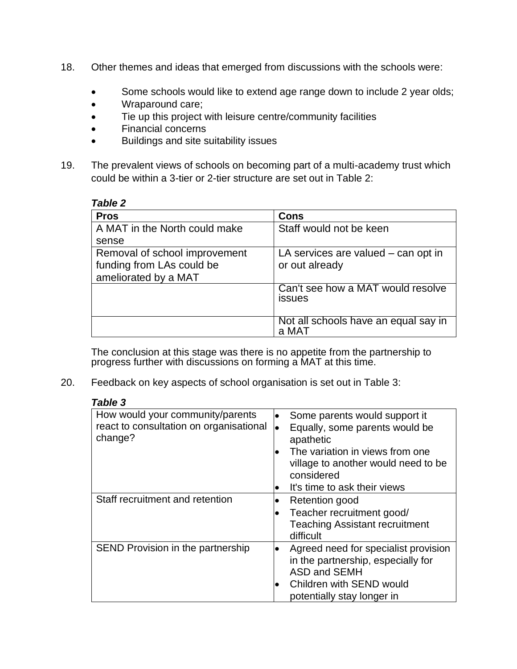- 18. Other themes and ideas that emerged from discussions with the schools were:
	- Some schools would like to extend age range down to include 2 year olds;
	- Wraparound care;
	- Tie up this project with leisure centre/community facilities
	- Financial concerns
	- Buildings and site suitability issues
- 19. The prevalent views of schools on becoming part of a multi-academy trust which could be within a 3-tier or 2-tier structure are set out in Table 2:

#### *Table 2*

| <b>Pros</b>                   | Cons                                               |
|-------------------------------|----------------------------------------------------|
| A MAT in the North could make | Staff would not be keen                            |
| sense                         |                                                    |
| Removal of school improvement | LA services are valued $-$ can opt in              |
| funding from LAs could be     | or out already                                     |
| ameliorated by a MAT          |                                                    |
|                               | Can't see how a MAT would resolve<br><b>issues</b> |
|                               | Not all schools have an equal say in<br>a MAT      |

The conclusion at this stage was there is no appetite from the partnership to progress further with discussions on forming a MAT at this time.

20. Feedback on key aspects of school organisation is set out in Table 3:

| <b>Table 3</b>                                                                         |                                                                                                                                                                                                                         |
|----------------------------------------------------------------------------------------|-------------------------------------------------------------------------------------------------------------------------------------------------------------------------------------------------------------------------|
| How would your community/parents<br>react to consultation on organisational<br>change? | Some parents would support it<br>$\bullet$<br>Equally, some parents would be<br>lo<br>apathetic<br>The variation in views from one<br>village to another would need to be<br>considered<br>It's time to ask their views |
| Staff recruitment and retention                                                        | <b>Retention good</b><br>Teacher recruitment good/<br><b>Teaching Assistant recruitment</b><br>difficult                                                                                                                |
| SEND Provision in the partnership                                                      | Agreed need for specialist provision<br>$\bullet$<br>in the partnership, especially for<br><b>ASD and SEMH</b><br>Children with SEND would<br>potentially stay longer in                                                |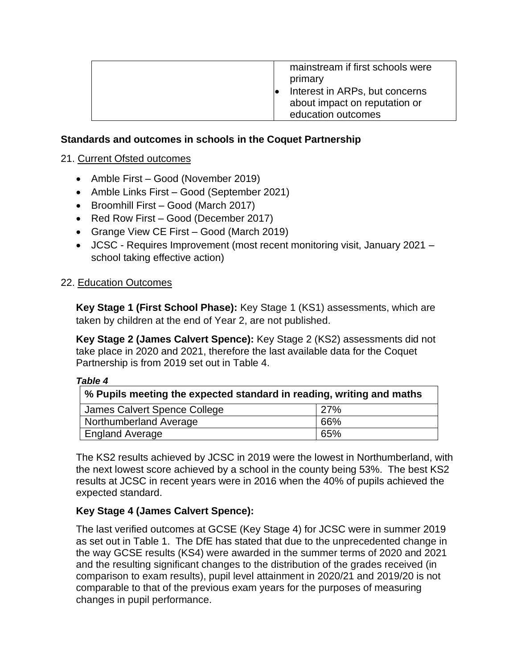| mainstream if first schools were<br>primary<br>Interest in ARPs, but concerns<br>about impact on reputation or<br>education outcomes |  |
|--------------------------------------------------------------------------------------------------------------------------------------|--|
|                                                                                                                                      |  |

## **Standards and outcomes in schools in the Coquet Partnership**

## 21. Current Ofsted outcomes

- Amble First Good (November 2019)
- Amble Links First Good (September 2021)
- Broomhill First Good (March 2017)
- Red Row First Good (December 2017)
- Grange View CE First Good (March 2019)
- JCSC Requires Improvement (most recent monitoring visit, January 2021 school taking effective action)

## 22. Education Outcomes

**Key Stage 1 (First School Phase):** Key Stage 1 (KS1) assessments, which are taken by children at the end of Year 2, are not published.

**Key Stage 2 (James Calvert Spence):** Key Stage 2 (KS2) assessments did not take place in 2020 and 2021, therefore the last available data for the Coquet Partnership is from 2019 set out in Table 4.

#### *Table 4*

| $\mid$ % Pupils meeting the expected standard in reading, writing and maths |     |  |
|-----------------------------------------------------------------------------|-----|--|
| James Calvert Spence College                                                | 27% |  |
| Northumberland Average                                                      | 66% |  |
| <b>England Average</b>                                                      | 65% |  |

The KS2 results achieved by JCSC in 2019 were the lowest in Northumberland, with the next lowest score achieved by a school in the county being 53%. The best KS2 results at JCSC in recent years were in 2016 when the 40% of pupils achieved the expected standard.

# **Key Stage 4 (James Calvert Spence):**

The last verified outcomes at GCSE (Key Stage 4) for JCSC were in summer 2019 as set out in Table 1. The DfE has stated that due to the unprecedented change in the way GCSE results (KS4) were awarded in the summer terms of 2020 and 2021 and the resulting significant changes to the distribution of the grades received (in comparison to exam results), pupil level attainment in 2020/21 and 2019/20 is not comparable to that of the previous exam years for the purposes of measuring changes in pupil performance.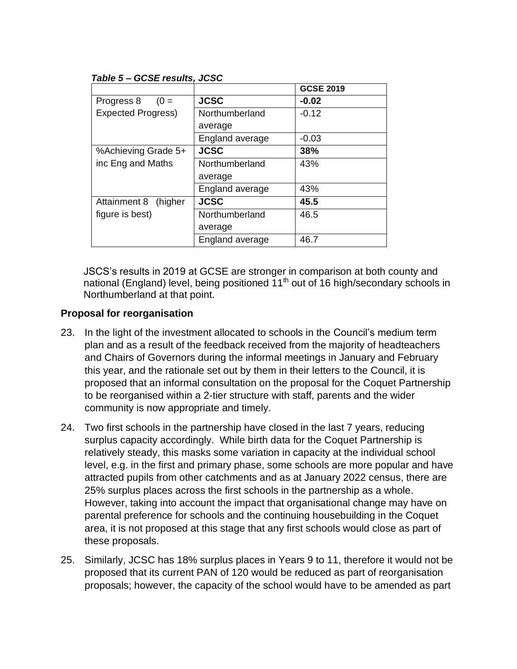#### *Table 5 – GCSE results, JCSC*

|                           |                 | <b>GCSE 2019</b> |
|---------------------------|-----------------|------------------|
| Progress 8 $(0 =$         | <b>JCSC</b>     | $-0.02$          |
| <b>Expected Progress)</b> | Northumberland  | $-0.12$          |
|                           | average         |                  |
|                           | England average | $-0.03$          |
| %Achieving Grade 5+       | <b>JCSC</b>     | 38%              |
| inc Eng and Maths         | Northumberland  | 43%              |
|                           | average         |                  |
|                           | England average | 43%              |
| Attainment 8<br>(higher   | <b>JCSC</b>     | 45.5             |
| figure is best)           | Northumberland  | 46.5             |
|                           | average         |                  |
|                           | England average | 46.7             |

JSCS's results in 2019 at GCSE are stronger in comparison at both county and national (England) level, being positioned 11<sup>th</sup> out of 16 high/secondary schools in Northumberland at that point.

## **Proposal for reorganisation**

- 23. In the light of the investment allocated to schools in the Council's medium term plan and as a result of the feedback received from the majority of headteachers and Chairs of Governors during the informal meetings in January and February this year, and the rationale set out by them in their letters to the Council, it is proposed that an informal consultation on the proposal for the Coquet Partnership to be reorganised within a 2-tier structure with staff, parents and the wider community is now appropriate and timely.
- 24. Two first schools in the partnership have closed in the last 7 years, reducing surplus capacity accordingly. While birth data for the Coquet Partnership is relatively steady, this masks some variation in capacity at the individual school level, e.g. in the first and primary phase, some schools are more popular and have attracted pupils from other catchments and as at January 2022 census, there are 25% surplus places across the first schools in the partnership as a whole. However, taking into account the impact that organisational change may have on parental preference for schools and the continuing housebuilding in the Coquet area, it is not proposed at this stage that any first schools would close as part of these proposals.
- 25. Similarly, JCSC has 18% surplus places in Years 9 to 11, therefore it would not be proposed that its current PAN of 120 would be reduced as part of reorganisation proposals; however, the capacity of the school would have to be amended as part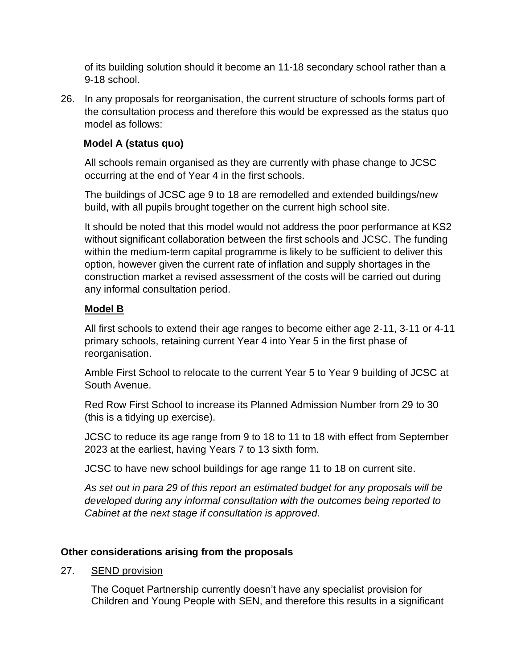of its building solution should it become an 11-18 secondary school rather than a 9-18 school.

26. In any proposals for reorganisation, the current structure of schools forms part of the consultation process and therefore this would be expressed as the status quo model as follows:

# **Model A (status quo)**

All schools remain organised as they are currently with phase change to JCSC occurring at the end of Year 4 in the first schools.

The buildings of JCSC age 9 to 18 are remodelled and extended buildings/new build, with all pupils brought together on the current high school site.

It should be noted that this model would not address the poor performance at KS2 without significant collaboration between the first schools and JCSC. The funding within the medium-term capital programme is likely to be sufficient to deliver this option, however given the current rate of inflation and supply shortages in the construction market a revised assessment of the costs will be carried out during any informal consultation period.

# **Model B**

All first schools to extend their age ranges to become either age 2-11, 3-11 or 4-11 primary schools, retaining current Year 4 into Year 5 in the first phase of reorganisation.

Amble First School to relocate to the current Year 5 to Year 9 building of JCSC at South Avenue.

Red Row First School to increase its Planned Admission Number from 29 to 30 (this is a tidying up exercise).

JCSC to reduce its age range from 9 to 18 to 11 to 18 with effect from September 2023 at the earliest, having Years 7 to 13 sixth form.

JCSC to have new school buildings for age range 11 to 18 on current site.

*As set out in para 29 of this report an estimated budget for any proposals will be developed during any informal consultation with the outcomes being reported to Cabinet at the next stage if consultation is approved.*

# **Other considerations arising from the proposals**

## 27. SEND provision

The Coquet Partnership currently doesn't have any specialist provision for Children and Young People with SEN, and therefore this results in a significant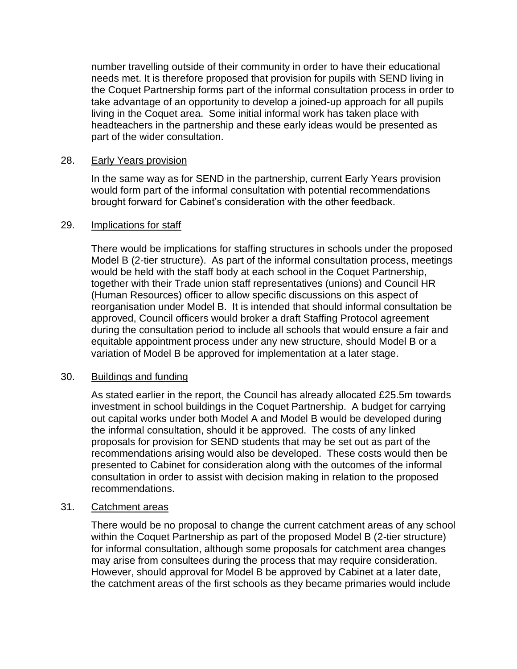number travelling outside of their community in order to have their educational needs met. It is therefore proposed that provision for pupils with SEND living in the Coquet Partnership forms part of the informal consultation process in order to take advantage of an opportunity to develop a joined-up approach for all pupils living in the Coquet area. Some initial informal work has taken place with headteachers in the partnership and these early ideas would be presented as part of the wider consultation.

#### 28. Early Years provision

In the same way as for SEND in the partnership, current Early Years provision would form part of the informal consultation with potential recommendations brought forward for Cabinet's consideration with the other feedback.

#### 29. Implications for staff

There would be implications for staffing structures in schools under the proposed Model B (2-tier structure). As part of the informal consultation process, meetings would be held with the staff body at each school in the Coquet Partnership, together with their Trade union staff representatives (unions) and Council HR (Human Resources) officer to allow specific discussions on this aspect of reorganisation under Model B. It is intended that should informal consultation be approved, Council officers would broker a draft Staffing Protocol agreement during the consultation period to include all schools that would ensure a fair and equitable appointment process under any new structure, should Model B or a variation of Model B be approved for implementation at a later stage.

#### 30. Buildings and funding

As stated earlier in the report, the Council has already allocated £25.5m towards investment in school buildings in the Coquet Partnership. A budget for carrying out capital works under both Model A and Model B would be developed during the informal consultation, should it be approved. The costs of any linked proposals for provision for SEND students that may be set out as part of the recommendations arising would also be developed. These costs would then be presented to Cabinet for consideration along with the outcomes of the informal consultation in order to assist with decision making in relation to the proposed recommendations.

#### 31. Catchment areas

There would be no proposal to change the current catchment areas of any school within the Coquet Partnership as part of the proposed Model B (2-tier structure) for informal consultation, although some proposals for catchment area changes may arise from consultees during the process that may require consideration. However, should approval for Model B be approved by Cabinet at a later date, the catchment areas of the first schools as they became primaries would include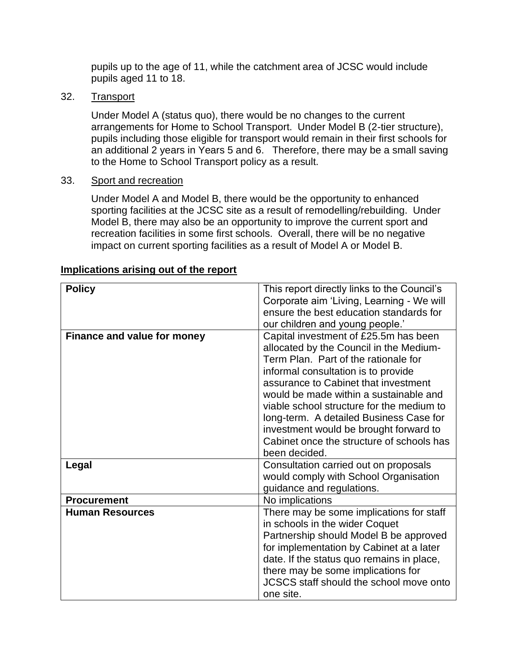pupils up to the age of 11, while the catchment area of JCSC would include pupils aged 11 to 18.

#### 32. Transport

Under Model A (status quo), there would be no changes to the current arrangements for Home to School Transport. Under Model B (2-tier structure), pupils including those eligible for transport would remain in their first schools for an additional 2 years in Years 5 and 6. Therefore, there may be a small saving to the Home to School Transport policy as a result.

#### 33. Sport and recreation

Under Model A and Model B, there would be the opportunity to enhanced sporting facilities at the JCSC site as a result of remodelling/rebuilding. Under Model B, there may also be an opportunity to improve the current sport and recreation facilities in some first schools. Overall, there will be no negative impact on current sporting facilities as a result of Model A or Model B.

| <b>Policy</b>                      | This report directly links to the Council's<br>Corporate aim 'Living, Learning - We will                                                                                                                                                                                                                                                                                                                                                          |
|------------------------------------|---------------------------------------------------------------------------------------------------------------------------------------------------------------------------------------------------------------------------------------------------------------------------------------------------------------------------------------------------------------------------------------------------------------------------------------------------|
|                                    | ensure the best education standards for<br>our children and young people.'                                                                                                                                                                                                                                                                                                                                                                        |
| <b>Finance and value for money</b> | Capital investment of £25.5m has been<br>allocated by the Council in the Medium-<br>Term Plan. Part of the rationale for<br>informal consultation is to provide<br>assurance to Cabinet that investment<br>would be made within a sustainable and<br>viable school structure for the medium to<br>long-term. A detailed Business Case for<br>investment would be brought forward to<br>Cabinet once the structure of schools has<br>been decided. |
| Legal                              | Consultation carried out on proposals<br>would comply with School Organisation<br>guidance and regulations.                                                                                                                                                                                                                                                                                                                                       |
| <b>Procurement</b>                 | No implications                                                                                                                                                                                                                                                                                                                                                                                                                                   |
| <b>Human Resources</b>             | There may be some implications for staff<br>in schools in the wider Coquet<br>Partnership should Model B be approved<br>for implementation by Cabinet at a later<br>date. If the status quo remains in place,<br>there may be some implications for<br>JCSCS staff should the school move onto<br>one site.                                                                                                                                       |

#### **Implications arising out of the report**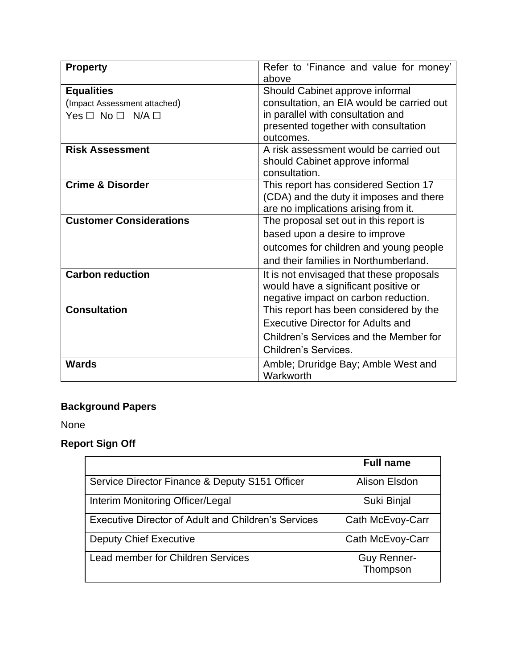| <b>Property</b>                | Refer to 'Finance and value for money'    |  |
|--------------------------------|-------------------------------------------|--|
|                                | above                                     |  |
| <b>Equalities</b>              | Should Cabinet approve informal           |  |
| (Impact Assessment attached)   | consultation, an EIA would be carried out |  |
| $Yes \Box No \Box N/A \Box$    | in parallel with consultation and         |  |
|                                | presented together with consultation      |  |
|                                | outcomes.                                 |  |
| <b>Risk Assessment</b>         | A risk assessment would be carried out    |  |
|                                | should Cabinet approve informal           |  |
|                                | consultation.                             |  |
| <b>Crime &amp; Disorder</b>    | This report has considered Section 17     |  |
|                                | (CDA) and the duty it imposes and there   |  |
|                                | are no implications arising from it.      |  |
| <b>Customer Considerations</b> | The proposal set out in this report is    |  |
|                                | based upon a desire to improve            |  |
|                                | outcomes for children and young people    |  |
|                                | and their families in Northumberland.     |  |
| <b>Carbon reduction</b>        | It is not envisaged that these proposals  |  |
|                                | would have a significant positive or      |  |
|                                | negative impact on carbon reduction.      |  |
| <b>Consultation</b>            | This report has been considered by the    |  |
|                                | Executive Director for Adults and         |  |
|                                | Children's Services and the Member for    |  |
|                                | <b>Children's Services.</b>               |  |
| <b>Wards</b>                   | Amble; Druridge Bay; Amble West and       |  |
|                                | Warkworth                                 |  |

# **Background Papers**

None

# **Report Sign Off**

|                                                            | <b>Full name</b>               |
|------------------------------------------------------------|--------------------------------|
| Service Director Finance & Deputy S151 Officer             | Alison Elsdon                  |
| Interim Monitoring Officer/Legal                           | Suki Binjal                    |
| <b>Executive Director of Adult and Children's Services</b> | Cath McEvoy-Carr               |
| <b>Deputy Chief Executive</b>                              | Cath McEvoy-Carr               |
| Lead member for Children Services                          | <b>Guy Renner-</b><br>Thompson |